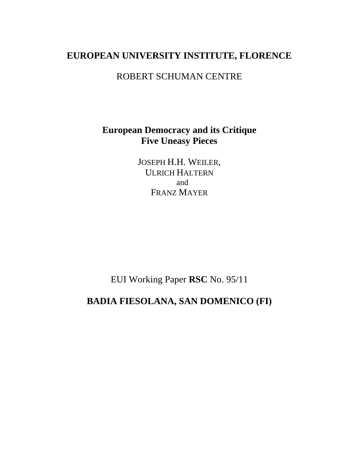# **EUROPEAN UNIVERSITY INSTITUTE, FLORENCE**

# ROBERT SCHUMAN CENTRE

# **European Democracy and its Critique Five Uneasy Pieces**

JOSEPH H.H. WEILER, ULRICH HALTERN and FRANZ MAYER

EUI Working Paper **RSC** No. 95/11

# **BADIA FIESOLANA, SAN DOMENICO (FI)**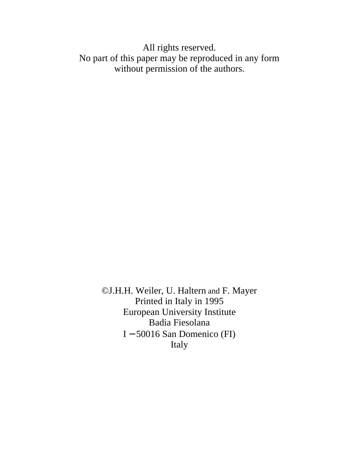All rights reserved. No part of this paper may be reproduced in any form without permission of the authors.

> ©J.H.H. Weiler, U. Haltern and F. Mayer Printed in Italy in 1995 European University Institute Badia Fiesolana I − 50016 San Domenico (FI) Italy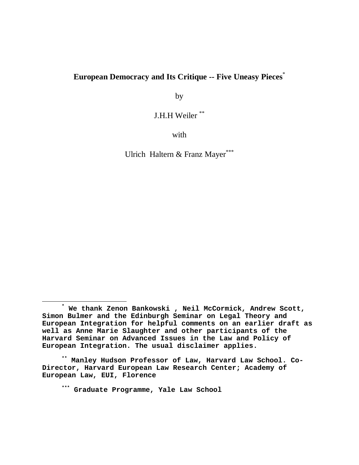#### **European Democracy and Its Critique -- Five Uneasy Pieces**\*

by

J.H.H Weiler \*\*

with

Ulrich Haltern & Franz Mayer\*\*\*

 **\*\* Manley Hudson Professor of Law, Harvard Law School. Co-Director, Harvard European Law Research Center; Academy of European Law, EUI, Florence**

 **\*\*\* Graduate Programme, Yale Law School**

**\* We thank Zenon Bankowski , Neil McCormick, Andrew Scott, Simon Bulmer and the Edinburgh Seminar on Legal Theory and European Integration for helpful comments on an earlier draft as well as Anne Marie Slaughter and other participants of the Harvard Seminar on Advanced Issues in the Law and Policy of European Integration. The usual disclaimer applies.**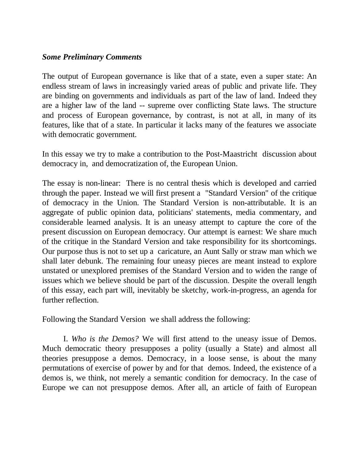### *Some Preliminary Comments*

The output of European governance is like that of a state, even a super state: An endless stream of laws in increasingly varied areas of public and private life. They are binding on governments and individuals as part of the law of land. Indeed they are a higher law of the land -- supreme over conflicting State laws. The structure and process of European governance, by contrast, is not at all, in many of its features, like that of a state. In particular it lacks many of the features we associate with democratic government.

In this essay we try to make a contribution to the Post-Maastricht discussion about democracy in, and democratization of, the European Union.

The essay is non-linear: There is no central thesis which is developed and carried through the paper. Instead we will first present a "Standard Version" of the critique of democracy in the Union. The Standard Version is non-attributable. It is an aggregate of public opinion data, politicians' statements, media commentary, and considerable learned analysis. It is an uneasy attempt to capture the core of the present discussion on European democracy. Our attempt is earnest: We share much of the critique in the Standard Version and take responsibility for its shortcomings. Our purpose thus is not to set up a caricature, an Aunt Sally or straw man which we shall later debunk. The remaining four uneasy pieces are meant instead to explore unstated or unexplored premises of the Standard Version and to widen the range of issues which we believe should be part of the discussion. Despite the overall length of this essay, each part will, inevitably be sketchy, work-in-progress, an agenda for further reflection.

Following the Standard Version we shall address the following:

I. *Who is the Demos?* We will first attend to the uneasy issue of Demos. Much democratic theory presupposes a polity (usually a State) and almost all theories presuppose a demos. Democracy, in a loose sense, is about the many permutations of exercise of power by and for that demos. Indeed, the existence of a demos is, we think, not merely a semantic condition for democracy. In the case of Europe we can not presuppose demos. After all, an article of faith of European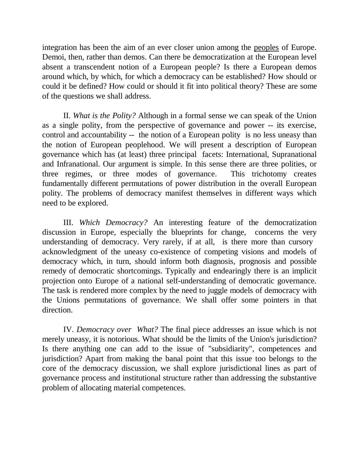integration has been the aim of an ever closer union among the peoples of Europe. Demoi, then, rather than demos. Can there be democratization at the European level absent a transcendent notion of a European people? Is there a European demos around which, by which, for which a democracy can be established? How should or could it be defined? How could or should it fit into political theory? These are some of the questions we shall address.

II. *What is the Polity?* Although in a formal sense we can speak of the Union as a single polity, from the perspective of governance and power -- its exercise, control and accountability -- the notion of a European polity is no less uneasy than the notion of European peoplehood. We will present a description of European governance which has (at least) three principal facets: International, Supranational and Infranational. Our argument is simple. In this sense there are three polities, or three regimes, or three modes of governance. This trichotomy creates fundamentally different permutations of power distribution in the overall European polity. The problems of democracy manifest themselves in different ways which need to be explored.

III. *Which Democracy?* An interesting feature of the democratization discussion in Europe, especially the blueprints for change, concerns the very understanding of democracy. Very rarely, if at all, is there more than cursory acknowledgment of the uneasy co-existence of competing visions and models of democracy which, in turn, should inform both diagnosis, prognosis and possible remedy of democratic shortcomings. Typically and endearingly there is an implicit projection onto Europe of a national self-understanding of democratic governance. The task is rendered more complex by the need to juggle models of democracy with the Unions permutations of governance. We shall offer some pointers in that direction.

IV. *Democracy over What?* The final piece addresses an issue which is not merely uneasy, it is notorious. What should be the limits of the Union's jurisdiction? Is there anything one can add to the issue of "subsidiarity", competences and jurisdiction? Apart from making the banal point that this issue too belongs to the core of the democracy discussion, we shall explore jurisdictional lines as part of governance process and institutional structure rather than addressing the substantive problem of allocating material competences.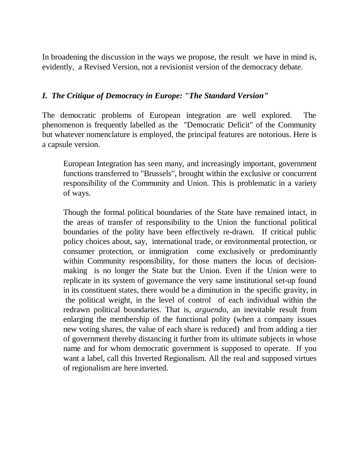In broadening the discussion in the ways we propose, the result we have in mind is, evidently, a Revised Version, not a revisionist version of the democracy debate.

## *I. The Critique of Democracy in Europe: "The Standard Version"*

The democratic problems of European integration are well explored. The phenomenon is frequently labelled as the "Democratic Deficit" of the Community but whatever nomenclature is employed, the principal features are notorious. Here is a capsule version.

European Integration has seen many, and increasingly important, government functions transferred to "Brussels", brought within the exclusive or concurrent responsibility of the Community and Union. This is problematic in a variety of ways.

Though the formal political boundaries of the State have remained intact, in the areas of transfer of responsibility to the Union the functional political boundaries of the polity have been effectively re-drawn. If critical public policy choices about, say, international trade, or environmental protection, or consumer protection, or immigration come exclusively or predominantly within Community responsibility, for those matters the locus of decisionmaking is no longer the State but the Union. Even if the Union were to replicate in its system of governance the very same institutional set-up found in its constituent states, there would be a diminution in the specific gravity, in the political weight, in the level of control of each individual within the redrawn political boundaries. That is, *arguendo*, an inevitable result from enlarging the membership of the functional polity (when a company issues new voting shares, the value of each share is reduced) and from adding a tier of government thereby distancing it further from its ultimate subjects in whose name and for whom democratic government is supposed to operate. If you want a label, call this Inverted Regionalism. All the real and supposed virtues of regionalism are here inverted.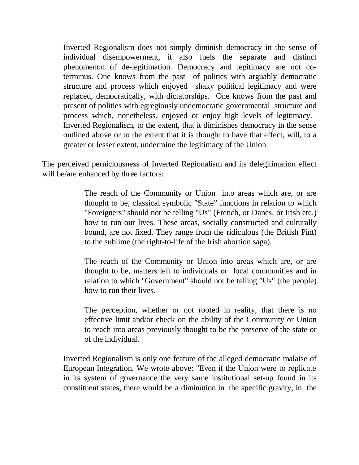Inverted Regionalism does not simply diminish democracy in the sense of individual disempowerment, it also fuels the separate and distinct phenomenon of de-legitimation. Democracy and legitimacy are not coterminus. One knows from the past of polities with arguably democratic structure and process which enjoyed shaky political legitimacy and were replaced, democratically, with dictatorships. One knows from the past and present of polities with egregiously undemocratic governmental structure and process which, nonetheless, enjoyed or enjoy high levels of legitimacy. Inverted Regionalism, to the extent, that it diminishes democracy in the sense outlined above or to the extent that it is thought to have that effect, will, to a greater or lesser extent, undermine the legitimacy of the Union.

The perceived perniciousness of Inverted Regionalism and its delegitimation effect will be/are enhanced by three factors:

> The reach of the Community or Union into areas which are, or are thought to be, classical symbolic "State" functions in relation to which "Foreigners" should not be telling "Us" (French, or Danes, or Irish etc.) how to run our lives. These areas, socially constructed and culturally bound, are not fixed. They range from the ridiculous (the British Pint) to the sublime (the right-to-life of the Irish abortion saga).

> The reach of the Community or Union into areas which are, or are thought to be, matters left to individuals or local communities and in relation to which "Government" should not be telling "Us" (the people) how to run their lives.

> The perception, whether or not rooted in reality, that there is no effective limit and/or check on the ability of the Community or Union to reach into areas previously thought to be the preserve of the state or of the individual.

Inverted Regionalism is only one feature of the alleged democratic malaise of European Integration. We wrote above: "Even if the Union were to replicate in its system of governance the very same institutional set-up found in its constituent states, there would be a diminution in the specific gravity, in the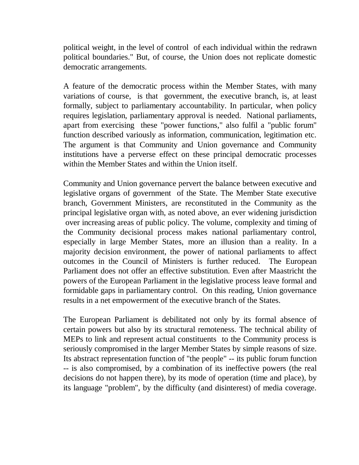political weight, in the level of control of each individual within the redrawn political boundaries." But, of course, the Union does not replicate domestic democratic arrangements.

A feature of the democratic process within the Member States, with many variations of course, is that government, the executive branch, is, at least formally, subject to parliamentary accountability. In particular, when policy requires legislation, parliamentary approval is needed. National parliaments, apart from exercising these "power functions," also fulfil a "public forum" function described variously as information, communication, legitimation etc. The argument is that Community and Union governance and Community institutions have a perverse effect on these principal democratic processes within the Member States and within the Union itself.

Community and Union governance pervert the balance between executive and legislative organs of government of the State. The Member State executive branch, Government Ministers, are reconstituted in the Community as the principal legislative organ with, as noted above, an ever widening jurisdiction over increasing areas of public policy. The volume, complexity and timing of the Community decisional process makes national parliamentary control, especially in large Member States, more an illusion than a reality. In a majority decision environment, the power of national parliaments to affect outcomes in the Council of Ministers is further reduced. The European Parliament does not offer an effective substitution. Even after Maastricht the powers of the European Parliament in the legislative process leave formal and formidable gaps in parliamentary control. On this reading, Union governance results in a net empowerment of the executive branch of the States.

The European Parliament is debilitated not only by its formal absence of certain powers but also by its structural remoteness. The technical ability of MEPs to link and represent actual constituents to the Community process is seriously compromised in the larger Member States by simple reasons of size. Its abstract representation function of "the people" -- its public forum function -- is also compromised, by a combination of its ineffective powers (the real decisions do not happen there), by its mode of operation (time and place), by its language "problem", by the difficulty (and disinterest) of media coverage.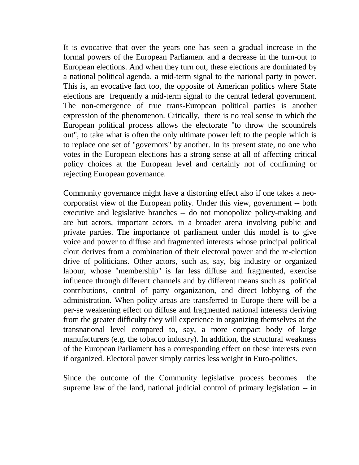It is evocative that over the years one has seen a gradual increase in the formal powers of the European Parliament and a decrease in the turn-out to European elections. And when they turn out, these elections are dominated by a national political agenda, a mid-term signal to the national party in power. This is, an evocative fact too, the opposite of American politics where State elections are frequently a mid-term signal to the central federal government. The non-emergence of true trans-European political parties is another expression of the phenomenon. Critically, there is no real sense in which the European political process allows the electorate "to throw the scoundrels out", to take what is often the only ultimate power left to the people which is to replace one set of "governors" by another. In its present state, no one who votes in the European elections has a strong sense at all of affecting critical policy choices at the European level and certainly not of confirming or rejecting European governance.

Community governance might have a distorting effect also if one takes a neocorporatist view of the European polity. Under this view, government -- both executive and legislative branches -- do not monopolize policy-making and are but actors, important actors, in a broader arena involving public and private parties. The importance of parliament under this model is to give voice and power to diffuse and fragmented interests whose principal political clout derives from a combination of their electoral power and the re-election drive of politicians. Other actors, such as, say, big industry or organized labour, whose "membership" is far less diffuse and fragmented, exercise influence through different channels and by different means such as political contributions, control of party organization, and direct lobbying of the administration. When policy areas are transferred to Europe there will be a per-se weakening effect on diffuse and fragmented national interests deriving from the greater difficulty they will experience in organizing themselves at the transnational level compared to, say, a more compact body of large manufacturers (e.g. the tobacco industry). In addition, the structural weakness of the European Parliament has a corresponding effect on these interests even if organized. Electoral power simply carries less weight in Euro-politics.

Since the outcome of the Community legislative process becomes the supreme law of the land, national judicial control of primary legislation -- in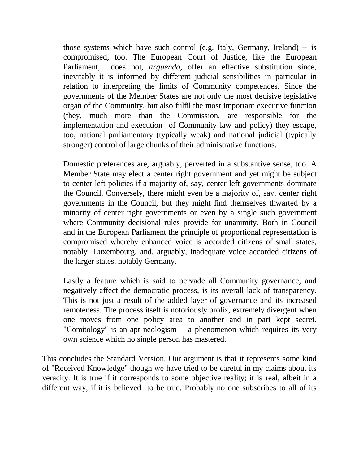those systems which have such control (e.g. Italy, Germany, Ireland) -- is compromised, too. The European Court of Justice, like the European Parliament, does not, *arguendo*, offer an effective substitution since, inevitably it is informed by different judicial sensibilities in particular in relation to interpreting the limits of Community competences. Since the governments of the Member States are not only the most decisive legislative organ of the Community, but also fulfil the most important executive function (they, much more than the Commission, are responsible for the implementation and execution of Community law and policy) they escape, too, national parliamentary (typically weak) and national judicial (typically stronger) control of large chunks of their administrative functions.

Domestic preferences are, arguably, perverted in a substantive sense, too. A Member State may elect a center right government and yet might be subject to center left policies if a majority of, say, center left governments dominate the Council. Conversely, there might even be a majority of, say, center right governments in the Council, but they might find themselves thwarted by a minority of center right governments or even by a single such government where Community decisional rules provide for unanimity. Both in Council and in the European Parliament the principle of proportional representation is compromised whereby enhanced voice is accorded citizens of small states, notably Luxembourg, and, arguably, inadequate voice accorded citizens of the larger states, notably Germany.

Lastly a feature which is said to pervade all Community governance, and negatively affect the democratic process, is its overall lack of transparency. This is not just a result of the added layer of governance and its increased remoteness. The process itself is notoriously prolix, extremely divergent when one moves from one policy area to another and in part kept secret. "Comitology" is an apt neologism -- a phenomenon which requires its very own science which no single person has mastered.

This concludes the Standard Version. Our argument is that it represents some kind of "Received Knowledge" though we have tried to be careful in my claims about its veracity. It is true if it corresponds to some objective reality; it is real, albeit in a different way, if it is believed to be true. Probably no one subscribes to all of its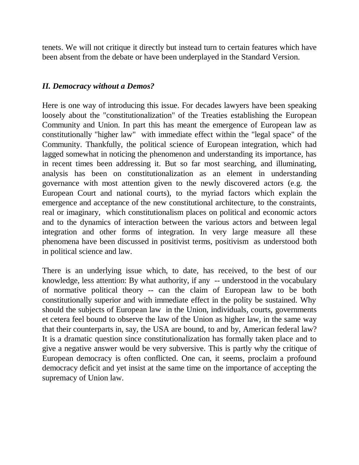tenets. We will not critique it directly but instead turn to certain features which have been absent from the debate or have been underplayed in the Standard Version.

#### *II. Democracy without a Demos?*

Here is one way of introducing this issue. For decades lawyers have been speaking loosely about the "constitutionalization" of the Treaties establishing the European Community and Union. In part this has meant the emergence of European law as constitutionally "higher law" with immediate effect within the "legal space" of the Community. Thankfully, the political science of European integration, which had lagged somewhat in noticing the phenomenon and understanding its importance, has in recent times been addressing it. But so far most searching, and illuminating, analysis has been on constitutionalization as an element in understanding governance with most attention given to the newly discovered actors (e.g. the European Court and national courts), to the myriad factors which explain the emergence and acceptance of the new constitutional architecture, to the constraints, real or imaginary, which constitutionalism places on political and economic actors and to the dynamics of interaction between the various actors and between legal integration and other forms of integration. In very large measure all these phenomena have been discussed in positivist terms, positivism as understood both in political science and law.

There is an underlying issue which, to date, has received, to the best of our knowledge, less attention: By what authority, if any -- understood in the vocabulary of normative political theory -- can the claim of European law to be both constitutionally superior and with immediate effect in the polity be sustained. Why should the subjects of European law in the Union, individuals, courts, governments et cetera feel bound to observe the law of the Union as higher law, in the same way that their counterparts in, say, the USA are bound, to and by, American federal law? It is a dramatic question since constitutionalization has formally taken place and to give a negative answer would be very subversive. This is partly why the critique of European democracy is often conflicted. One can, it seems, proclaim a profound democracy deficit and yet insist at the same time on the importance of accepting the supremacy of Union law.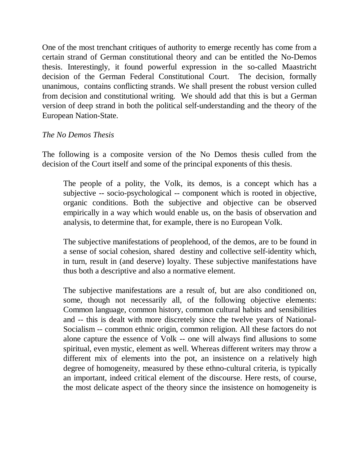One of the most trenchant critiques of authority to emerge recently has come from a certain strand of German constitutional theory and can be entitled the No-Demos thesis. Interestingly, it found powerful expression in the so-called Maastricht decision of the German Federal Constitutional Court. The decision, formally unanimous, contains conflicting strands. We shall present the robust version culled from decision and constitutional writing. We should add that this is but a German version of deep strand in both the political self-understanding and the theory of the European Nation-State.

#### *The No Demos Thesis*

The following is a composite version of the No Demos thesis culled from the decision of the Court itself and some of the principal exponents of this thesis.

The people of a polity, the Volk, its demos, is a concept which has a subjective -- socio-psychological -- component which is rooted in objective, organic conditions. Both the subjective and objective can be observed empirically in a way which would enable us, on the basis of observation and analysis, to determine that, for example, there is no European Volk.

The subjective manifestations of peoplehood, of the demos, are to be found in a sense of social cohesion, shared destiny and collective self-identity which, in turn, result in (and deserve) loyalty. These subjective manifestations have thus both a descriptive and also a normative element.

The subjective manifestations are a result of, but are also conditioned on, some, though not necessarily all, of the following objective elements: Common language, common history, common cultural habits and sensibilities and -- this is dealt with more discretely since the twelve years of National-Socialism -- common ethnic origin, common religion. All these factors do not alone capture the essence of Volk -- one will always find allusions to some spiritual, even mystic, element as well. Whereas different writers may throw a different mix of elements into the pot, an insistence on a relatively high degree of homogeneity, measured by these ethno-cultural criteria, is typically an important, indeed critical element of the discourse. Here rests, of course, the most delicate aspect of the theory since the insistence on homogeneity is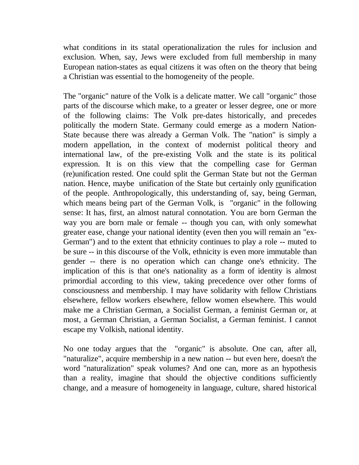what conditions in its statal operationalization the rules for inclusion and exclusion. When, say, Jews were excluded from full membership in many European nation-states as equal citizens it was often on the theory that being a Christian was essential to the homogeneity of the people.

The "organic" nature of the Volk is a delicate matter. We call "organic" those parts of the discourse which make, to a greater or lesser degree, one or more of the following claims: The Volk pre-dates historically, and precedes politically the modern State. Germany could emerge as a modern Nation-State because there was already a German Volk. The "nation" is simply a modern appellation, in the context of modernist political theory and international law, of the pre-existing Volk and the state is its political expression. It is on this view that the compelling case for German (re)unification rested. One could split the German State but not the German nation. Hence, maybe unification of the State but certainly only reunification of the people. Anthropologically, this understanding of, say, being German, which means being part of the German Volk, is "organic" in the following sense: It has, first, an almost natural connotation. You are born German the way you are born male or female -- though you can, with only somewhat greater ease, change your national identity (even then you will remain an "ex-German") and to the extent that ethnicity continues to play a role -- muted to be sure -- in this discourse of the Volk, ethnicity is even more immutable than gender -- there is no operation which can change one's ethnicity. The implication of this is that one's nationality as a form of identity is almost primordial according to this view, taking precedence over other forms of consciousness and membership. I may have solidarity with fellow Christians elsewhere, fellow workers elsewhere, fellow women elsewhere. This would make me a Christian German, a Socialist German, a feminist German or, at most, a German Christian, a German Socialist, a German feminist. I cannot escape my Volkish, national identity.

No one today argues that the "organic" is absolute. One can, after all, "naturalize", acquire membership in a new nation -- but even here, doesn't the word "naturalization" speak volumes? And one can, more as an hypothesis than a reality, imagine that should the objective conditions sufficiently change, and a measure of homogeneity in language, culture, shared historical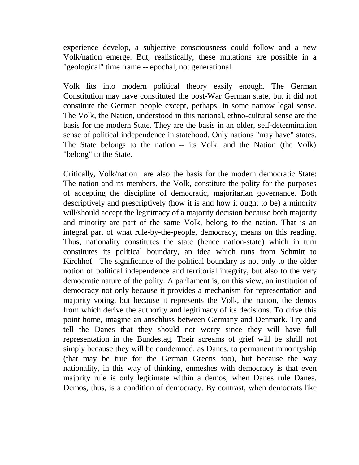experience develop, a subjective consciousness could follow and a new Volk/nation emerge. But, realistically, these mutations are possible in a "geological" time frame -- epochal, not generational.

Volk fits into modern political theory easily enough. The German Constitution may have constituted the post-War German state, but it did not constitute the German people except, perhaps, in some narrow legal sense. The Volk, the Nation, understood in this national, ethno-cultural sense are the basis for the modern State. They are the basis in an older, self-determination sense of political independence in statehood. Only nations "may have" states. The State belongs to the nation -- its Volk, and the Nation (the Volk) "belong" to the State.

Critically, Volk/nation are also the basis for the modern democratic State: The nation and its members, the Volk, constitute the polity for the purposes of accepting the discipline of democratic, majoritarian governance. Both descriptively and prescriptively (how it is and how it ought to be) a minority will/should accept the legitimacy of a majority decision because both majority and minority are part of the same Volk, belong to the nation. That is an integral part of what rule-by-the-people, democracy, means on this reading. Thus, nationality constitutes the state (hence nation-state) which in turn constitutes its political boundary, an idea which runs from Schmitt to Kirchhof. The significance of the political boundary is not only to the older notion of political independence and territorial integrity, but also to the very democratic nature of the polity. A parliament is, on this view, an institution of democracy not only because it provides a mechanism for representation and majority voting, but because it represents the Volk, the nation, the demos from which derive the authority and legitimacy of its decisions. To drive this point home, imagine an anschluss between Germany and Denmark. Try and tell the Danes that they should not worry since they will have full representation in the Bundestag. Their screams of grief will be shrill not simply because they will be condemned, as Danes, to permanent minorityship (that may be true for the German Greens too), but because the way nationality, in this way of thinking, enmeshes with democracy is that even majority rule is only legitimate within a demos, when Danes rule Danes. Demos, thus, is a condition of democracy. By contrast, when democrats like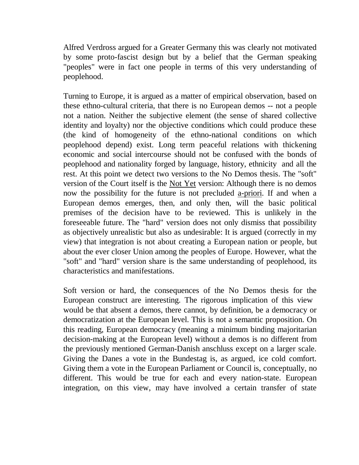Alfred Verdross argued for a Greater Germany this was clearly not motivated by some proto-fascist design but by a belief that the German speaking "peoples" were in fact one people in terms of this very understanding of peoplehood.

Turning to Europe, it is argued as a matter of empirical observation, based on these ethno-cultural criteria, that there is no European demos -- not a people not a nation. Neither the subjective element (the sense of shared collective identity and loyalty) nor the objective conditions which could produce these (the kind of homogeneity of the ethno-national conditions on which peoplehood depend) exist. Long term peaceful relations with thickening economic and social intercourse should not be confused with the bonds of peoplehood and nationality forged by language, history, ethnicity and all the rest. At this point we detect two versions to the No Demos thesis. The "soft" version of the Court itself is the <u>Not Yet</u> version: Although there is no demos now the possibility for the future is not precluded a-priori. If and when a European demos emerges, then, and only then, will the basic political premises of the decision have to be reviewed. This is unlikely in the foreseeable future. The "hard" version does not only dismiss that possibility as objectively unrealistic but also as undesirable: It is argued (correctly in my view) that integration is not about creating a European nation or people, but about the ever closer Union among the peoples of Europe. However, what the "soft" and "hard" version share is the same understanding of peoplehood, its characteristics and manifestations.

Soft version or hard, the consequences of the No Demos thesis for the European construct are interesting. The rigorous implication of this view would be that absent a demos, there cannot, by definition, be a democracy or democratization at the European level. This is not a semantic proposition. On this reading, European democracy (meaning a minimum binding majoritarian decision-making at the European level) without a demos is no different from the previously mentioned German-Danish anschluss except on a larger scale. Giving the Danes a vote in the Bundestag is, as argued, ice cold comfort. Giving them a vote in the European Parliament or Council is, conceptually, no different. This would be true for each and every nation-state. European integration, on this view, may have involved a certain transfer of state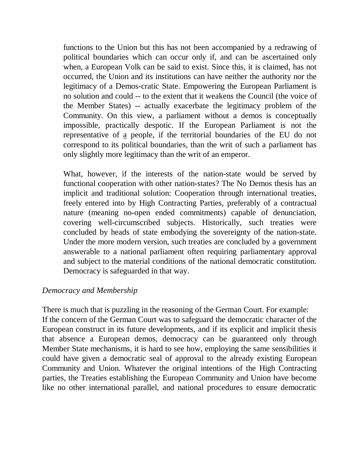functions to the Union but this has not been accompanied by a redrawing of political boundaries which can occur only if, and can be ascertained only when, a European Volk can be said to exist. Since this, it is claimed, has not occurred, the Union and its institutions can have neither the authority nor the legitimacy of a Demos-cratic State. Empowering the European Parliament is no solution and could -- to the extent that it weakens the Council (the voice of the Member States) -- actually exacerbate the legitimacy problem of the Community. On this view, a parliament without a demos is conceptually impossible, practically despotic. If the European Parliament is not the representative of a people, if the territorial boundaries of the EU do not correspond to its political boundaries, than the writ of such a parliament has only slightly more legitimacy than the writ of an emperor.

What, however, if the interests of the nation-state would be served by functional cooperation with other nation-states? The No Demos thesis has an implicit and traditional solution: Cooperation through international treaties, freely entered into by High Contracting Parties, preferably of a contractual nature (meaning no-open ended commitments) capable of denunciation, covering well-circumscribed subjects. Historically, such treaties were concluded by heads of state embodying the sovereignty of the nation-state. Under the more modern version, such treaties are concluded by a government answerable to a national parliament often requiring parliamentary approval and subject to the material conditions of the national democratic constitution. Democracy is safeguarded in that way.

### *Democracy and Membership*

There is much that is puzzling in the reasoning of the German Court. For example: If the concern of the German Court was to safeguard the democratic character of the European construct in its future developments, and if its explicit and implicit thesis that absence a European demos, democracy can be guaranteed only through Member State mechanisms, it is hard to see how, employing the same sensibilities it could have given a democratic seal of approval to the already existing European Community and Union. Whatever the original intentions of the High Contracting parties, the Treaties establishing the European Community and Union have become like no other international parallel, and national procedures to ensure democratic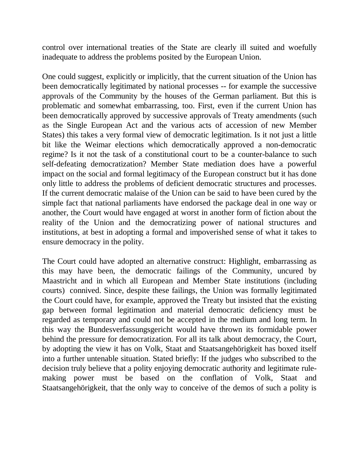control over international treaties of the State are clearly ill suited and woefully inadequate to address the problems posited by the European Union.

One could suggest, explicitly or implicitly, that the current situation of the Union has been democratically legitimated by national processes -- for example the successive approvals of the Community by the houses of the German parliament. But this is problematic and somewhat embarrassing, too. First, even if the current Union has been democratically approved by successive approvals of Treaty amendments (such as the Single European Act and the various acts of accession of new Member States) this takes a very formal view of democratic legitimation. Is it not just a little bit like the Weimar elections which democratically approved a non-democratic regime? Is it not the task of a constitutional court to be a counter-balance to such self-defeating democratization? Member State mediation does have a powerful impact on the social and formal legitimacy of the European construct but it has done only little to address the problems of deficient democratic structures and processes. If the current democratic malaise of the Union can be said to have been cured by the simple fact that national parliaments have endorsed the package deal in one way or another, the Court would have engaged at worst in another form of fiction about the reality of the Union and the democratizing power of national structures and institutions, at best in adopting a formal and impoverished sense of what it takes to ensure democracy in the polity.

The Court could have adopted an alternative construct: Highlight, embarrassing as this may have been, the democratic failings of the Community, uncured by Maastricht and in which all European and Member State institutions (including courts) connived. Since, despite these failings, the Union was formally legitimated the Court could have, for example, approved the Treaty but insisted that the existing gap between formal legitimation and material democratic deficiency must be regarded as temporary and could not be accepted in the medium and long term. In this way the Bundesverfassungsgericht would have thrown its formidable power behind the pressure for democratization. For all its talk about democracy, the Court, by adopting the view it has on Volk, Staat and Staatsangehörigkeit has boxed itself into a further untenable situation. Stated briefly: If the judges who subscribed to the decision truly believe that a polity enjoying democratic authority and legitimate rulemaking power must be based on the conflation of Volk, Staat and Staatsangehörigkeit, that the only way to conceive of the demos of such a polity is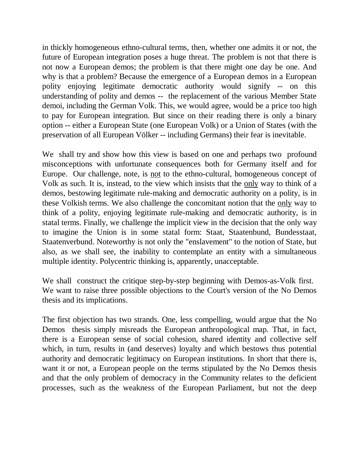in thickly homogeneous ethno-cultural terms, then, whether one admits it or not, the future of European integration poses a huge threat. The problem is not that there is not now a European demos; the problem is that there might one day be one. And why is that a problem? Because the emergence of a European demos in a European polity enjoying legitimate democratic authority would signify -- on this understanding of polity and demos -- the replacement of the various Member State demoi, including the German Volk. This, we would agree, would be a price too high to pay for European integration. But since on their reading there is only a binary option -- either a European State (one European Volk) or a Union of States (with the preservation of all European Völker -- including Germans) their fear is inevitable.

We shall try and show how this view is based on one and perhaps two profound misconceptions with unfortunate consequences both for Germany itself and for Europe. Our challenge, note, is not to the ethno-cultural, homogeneous concept of Volk as such. It is, instead, to the view which insists that the only way to think of a demos, bestowing legitimate rule-making and democratic authority on a polity, is in these Volkish terms. We also challenge the concomitant notion that the only way to think of a polity, enjoying legitimate rule-making and democratic authority, is in statal terms. Finally, we challenge the implicit view in the decision that the only way to imagine the Union is in some statal form: Staat, Staatenbund, Bundesstaat, Staatenverbund. Noteworthy is not only the "enslavement" to the notion of State, but also, as we shall see, the inability to contemplate an entity with a simultaneous multiple identity. Polycentric thinking is, apparently, unacceptable.

We shall construct the critique step-by-step beginning with Demos-as-Volk first. We want to raise three possible objections to the Court's version of the No Demos thesis and its implications.

The first objection has two strands. One, less compelling, would argue that the No Demos thesis simply misreads the European anthropological map. That, in fact, there is a European sense of social cohesion, shared identity and collective self which, in turn, results in (and deserves) loyalty and which bestows thus potential authority and democratic legitimacy on European institutions. In short that there is, want it or not, a European people on the terms stipulated by the No Demos thesis and that the only problem of democracy in the Community relates to the deficient processes, such as the weakness of the European Parliament, but not the deep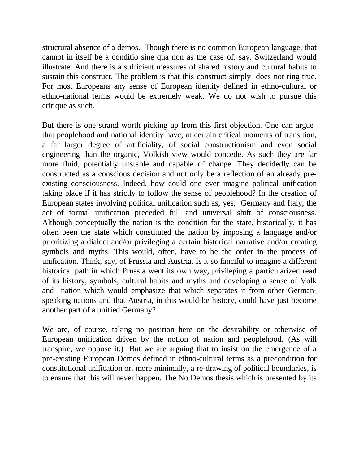structural absence of a demos. Though there is no common European language, that cannot in itself be a conditio sine qua non as the case of, say, Switzerland would illustrate. And there is a sufficient measures of shared history and cultural habits to sustain this construct. The problem is that this construct simply does not ring true. For most Europeans any sense of European identity defined in ethno-cultural or ethno-national terms would be extremely weak. We do not wish to pursue this critique as such.

But there is one strand worth picking up from this first objection. One can argue that peoplehood and national identity have, at certain critical moments of transition, a far larger degree of artificiality, of social constructionism and even social engineering than the organic, Volkish view would concede. As such they are far more fluid, potentially unstable and capable of change. They decidedly can be constructed as a conscious decision and not only be a reflection of an already preexisting consciousness. Indeed, how could one ever imagine political unification taking place if it has strictly to follow the sense of peoplehood? In the creation of European states involving political unification such as, yes, Germany and Italy, the act of formal unification preceded full and universal shift of consciousness. Although conceptually the nation is the condition for the state, historically, it has often been the state which constituted the nation by imposing a language and/or prioritizing a dialect and/or privileging a certain historical narrative and/or creating symbols and myths. This would, often, have to be the order in the process of unification. Think, say, of Prussia and Austria. Is it so fanciful to imagine a different historical path in which Prussia went its own way, privileging a particularized read of its history, symbols, cultural habits and myths and developing a sense of Volk and nation which would emphasize that which separates it from other Germanspeaking nations and that Austria, in this would-be history, could have just become another part of a unified Germany?

We are, of course, taking no position here on the desirability or otherwise of European unification driven by the notion of nation and peoplehood. (As will transpire, we oppose it.) But we are arguing that to insist on the emergence of a pre-existing European Demos defined in ethno-cultural terms as a precondition for constitutional unification or, more minimally, a re-drawing of political boundaries, is to ensure that this will never happen. The No Demos thesis which is presented by its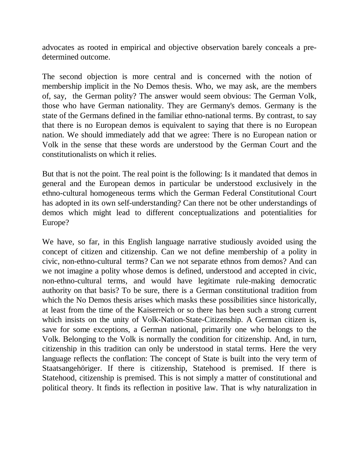advocates as rooted in empirical and objective observation barely conceals a predetermined outcome.

The second objection is more central and is concerned with the notion of membership implicit in the No Demos thesis. Who, we may ask, are the members of, say, the German polity? The answer would seem obvious: The German Volk, those who have German nationality. They are Germany's demos. Germany is the state of the Germans defined in the familiar ethno-national terms. By contrast, to say that there is no European demos is equivalent to saying that there is no European nation. We should immediately add that we agree: There is no European nation or Volk in the sense that these words are understood by the German Court and the constitutionalists on which it relies.

But that is not the point. The real point is the following: Is it mandated that demos in general and the European demos in particular be understood exclusively in the ethno-cultural homogeneous terms which the German Federal Constitutional Court has adopted in its own self-understanding? Can there not be other understandings of demos which might lead to different conceptualizations and potentialities for Europe?

We have, so far, in this English language narrative studiously avoided using the concept of citizen and citizenship. Can we not define membership of a polity in civic, non-ethno-cultural terms? Can we not separate ethnos from demos? And can we not imagine a polity whose demos is defined, understood and accepted in civic, non-ethno-cultural terms, and would have legitimate rule-making democratic authority on that basis? To be sure, there is a German constitutional tradition from which the No Demos thesis arises which masks these possibilities since historically, at least from the time of the Kaiserreich or so there has been such a strong current which insists on the unity of Volk-Nation-State-Citizenship. A German citizen is, save for some exceptions, a German national, primarily one who belongs to the Volk. Belonging to the Volk is normally the condition for citizenship. And, in turn, citizenship in this tradition can only be understood in statal terms. Here the very language reflects the conflation: The concept of State is built into the very term of Staatsangehöriger. If there is citizenship, Statehood is premised. If there is Statehood, citizenship is premised. This is not simply a matter of constitutional and political theory. It finds its reflection in positive law. That is why naturalization in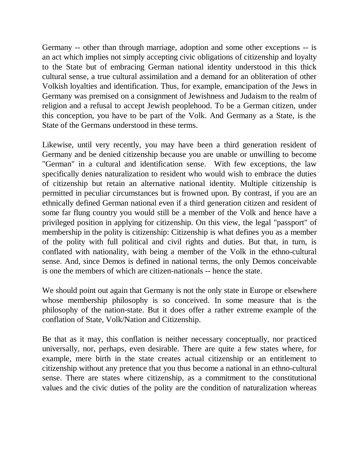Germany -- other than through marriage, adoption and some other exceptions -- is an act which implies not simply accepting civic obligations of citizenship and loyalty to the State but of embracing German national identity understood in this thick cultural sense, a true cultural assimilation and a demand for an obliteration of other Volkish loyalties and identification. Thus, for example, emancipation of the Jews in Germany was premised on a consignment of Jewishness and Judaism to the realm of religion and a refusal to accept Jewish peoplehood. To be a German citizen, under this conception, you have to be part of the Volk. And Germany as a State, is the State of the Germans understood in these terms.

Likewise, until very recently, you may have been a third generation resident of Germany and be denied citizenship because you are unable or unwilling to become "German" in a cultural and identification sense. With few exceptions, the law specifically denies naturalization to resident who would wish to embrace the duties of citizenship but retain an alternative national identity. Multiple citizenship is permitted in peculiar circumstances but is frowned upon. By contrast, if you are an ethnically defined German national even if a third generation citizen and resident of some far flung country you would still be a member of the Volk and hence have a privileged position in applying for citizenship. On this view, the legal "passport" of membership in the polity is citizenship: Citizenship is what defines you as a member of the polity with full political and civil rights and duties. But that, in turn, is conflated with nationality, with being a member of the Volk in the ethno-cultural sense. And, since Demos is defined in national terms, the only Demos conceivable is one the members of which are citizen-nationals -- hence the state.

We should point out again that Germany is not the only state in Europe or elsewhere whose membership philosophy is so conceived. In some measure that is the philosophy of the nation-state. But it does offer a rather extreme example of the conflation of State, Volk/Nation and Citizenship.

Be that as it may, this conflation is neither necessary conceptually, nor practiced universally, nor, perhaps, even desirable. There are quite a few states where, for example, mere birth in the state creates actual citizenship or an entitlement to citizenship without any pretence that you thus become a national in an ethno-cultural sense. There are states where citizenship, as a commitment to the constitutional values and the civic duties of the polity are the condition of naturalization whereas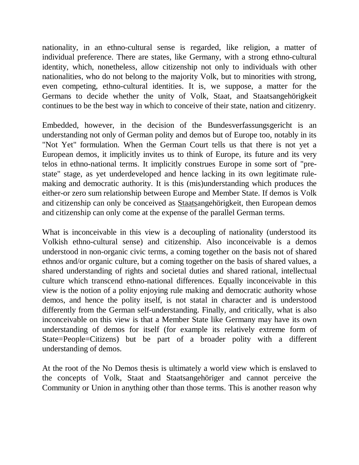nationality, in an ethno-cultural sense is regarded, like religion, a matter of individual preference. There are states, like Germany, with a strong ethno-cultural identity, which, nonetheless, allow citizenship not only to individuals with other nationalities, who do not belong to the majority Volk, but to minorities with strong, even competing, ethno-cultural identities. It is, we suppose, a matter for the Germans to decide whether the unity of Volk, Staat, and Staatsangehörigkeit continues to be the best way in which to conceive of their state, nation and citizenry.

Embedded, however, in the decision of the Bundesverfassungsgericht is an understanding not only of German polity and demos but of Europe too, notably in its "Not Yet" formulation. When the German Court tells us that there is not yet a European demos, it implicitly invites us to think of Europe, its future and its very telos in ethno-national terms. It implicitly construes Europe in some sort of "prestate" stage, as yet underdeveloped and hence lacking in its own legitimate rulemaking and democratic authority. It is this (mis)understanding which produces the either-or zero sum relationship between Europe and Member State. If demos is Volk and citizenship can only be conceived as Staatsangehörigkeit, then European demos and citizenship can only come at the expense of the parallel German terms.

What is inconceivable in this view is a decoupling of nationality (understood its Volkish ethno-cultural sense) and citizenship. Also inconceivable is a demos understood in non-organic civic terms, a coming together on the basis not of shared ethnos and/or organic culture, but a coming together on the basis of shared values, a shared understanding of rights and societal duties and shared rational, intellectual culture which transcend ethno-national differences. Equally inconceivable in this view is the notion of a polity enjoying rule making and democratic authority whose demos, and hence the polity itself, is not statal in character and is understood differently from the German self-understanding. Finally, and critically, what is also inconceivable on this view is that a Member State like Germany may have its own understanding of demos for itself (for example its relatively extreme form of State=People=Citizens) but be part of a broader polity with a different understanding of demos.

At the root of the No Demos thesis is ultimately a world view which is enslaved to the concepts of Volk, Staat and Staatsangehöriger and cannot perceive the Community or Union in anything other than those terms. This is another reason why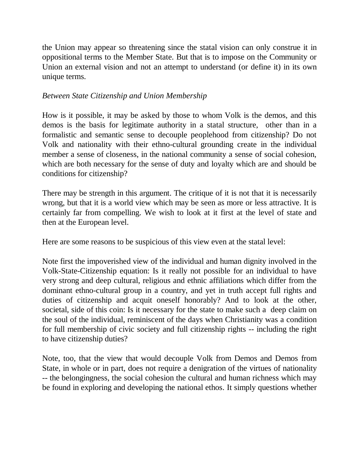the Union may appear so threatening since the statal vision can only construe it in oppositional terms to the Member State. But that is to impose on the Community or Union an external vision and not an attempt to understand (or define it) in its own unique terms.

## *Between State Citizenship and Union Membership*

How is it possible, it may be asked by those to whom Volk is the demos, and this demos is the basis for legitimate authority in a statal structure, other than in a formalistic and semantic sense to decouple peoplehood from citizenship? Do not Volk and nationality with their ethno-cultural grounding create in the individual member a sense of closeness, in the national community a sense of social cohesion, which are both necessary for the sense of duty and loyalty which are and should be conditions for citizenship?

There may be strength in this argument. The critique of it is not that it is necessarily wrong, but that it is a world view which may be seen as more or less attractive. It is certainly far from compelling. We wish to look at it first at the level of state and then at the European level.

Here are some reasons to be suspicious of this view even at the statal level:

Note first the impoverished view of the individual and human dignity involved in the Volk-State-Citizenship equation: Is it really not possible for an individual to have very strong and deep cultural, religious and ethnic affiliations which differ from the dominant ethno-cultural group in a country, and yet in truth accept full rights and duties of citizenship and acquit oneself honorably? And to look at the other, societal, side of this coin: Is it necessary for the state to make such a deep claim on the soul of the individual, reminiscent of the days when Christianity was a condition for full membership of civic society and full citizenship rights -- including the right to have citizenship duties?

Note, too, that the view that would decouple Volk from Demos and Demos from State, in whole or in part, does not require a denigration of the virtues of nationality -- the belongingness, the social cohesion the cultural and human richness which may be found in exploring and developing the national ethos. It simply questions whether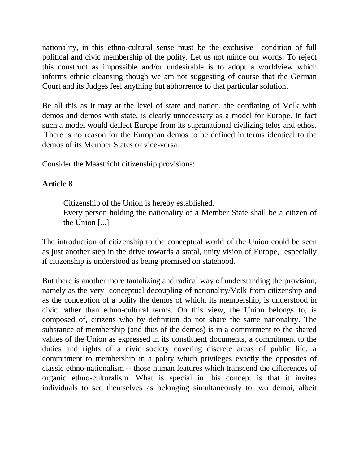nationality, in this ethno-cultural sense must be the exclusive condition of full political and civic membership of the polity. Let us not mince our words: To reject this construct as impossible and/or undesirable is to adopt a worldview which informs ethnic cleansing though we am not suggesting of course that the German Court and its Judges feel anything but abhorrence to that particular solution.

Be all this as it may at the level of state and nation, the conflating of Volk with demos and demos with state, is clearly unnecessary as a model for Europe. In fact such a model would deflect Europe from its supranational civilizing telos and ethos. There is no reason for the European demos to be defined in terms identical to the demos of its Member States or vice-versa.

Consider the Maastricht citizenship provisions:

## **Article 8**

Citizenship of the Union is hereby established.

Every person holding the nationality of a Member State shall be a citizen of the Union [...]

The introduction of citizenship to the conceptual world of the Union could be seen as just another step in the drive towards a statal, unity vision of Europe, especially if citizenship is understood as being premised on statehood.

But there is another more tantalizing and radical way of understanding the provision, namely as the very conceptual decoupling of nationality/Volk from citizenship and as the conception of a polity the demos of which, its membership, is understood in civic rather than ethno-cultural terms. On this view, the Union belongs to, is composed of, citizens who by definition do not share the same nationality. The substance of membership (and thus of the demos) is in a commitment to the shared values of the Union as expressed in its constituent documents, a commitment to the duties and rights of a civic society covering discrete areas of public life, a commitment to membership in a polity which privileges exactly the opposites of classic ethno-nationalism -- those human features which transcend the differences of organic ethno-culturalism. What is special in this concept is that it invites individuals to see themselves as belonging simultaneously to two demoi, albeit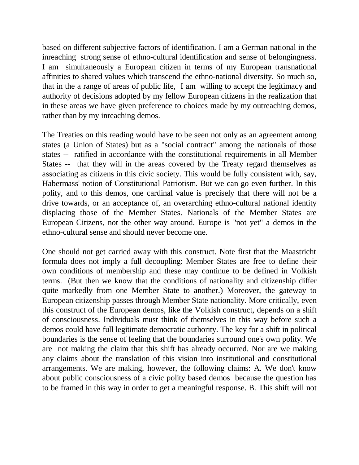based on different subjective factors of identification. I am a German national in the inreaching strong sense of ethno-cultural identification and sense of belongingness. I am simultaneously a European citizen in terms of my European transnational affinities to shared values which transcend the ethno-national diversity. So much so, that in the a range of areas of public life, I am willing to accept the legitimacy and authority of decisions adopted by my fellow European citizens in the realization that in these areas we have given preference to choices made by my outreaching demos, rather than by my inreaching demos.

The Treaties on this reading would have to be seen not only as an agreement among states (a Union of States) but as a "social contract" among the nationals of those states -- ratified in accordance with the constitutional requirements in all Member States -- that they will in the areas covered by the Treaty regard themselves as associating as citizens in this civic society. This would be fully consistent with, say, Habermass' notion of Constitutional Patriotism. But we can go even further. In this polity, and to this demos, one cardinal value is precisely that there will not be a drive towards, or an acceptance of, an overarching ethno-cultural national identity displacing those of the Member States. Nationals of the Member States are European Citizens, not the other way around. Europe is "not yet" a demos in the ethno-cultural sense and should never become one.

One should not get carried away with this construct. Note first that the Maastricht formula does not imply a full decoupling: Member States are free to define their own conditions of membership and these may continue to be defined in Volkish terms. (But then we know that the conditions of nationality and citizenship differ quite markedly from one Member State to another.) Moreover, the gateway to European citizenship passes through Member State nationality. More critically, even this construct of the European demos, like the Volkish construct, depends on a shift of consciousness. Individuals must think of themselves in this way before such a demos could have full legitimate democratic authority. The key for a shift in political boundaries is the sense of feeling that the boundaries surround one's own polity. We are not making the claim that this shift has already occurred. Nor are we making any claims about the translation of this vision into institutional and constitutional arrangements. We are making, however, the following claims: A. We don't know about public consciousness of a civic polity based demos because the question has to be framed in this way in order to get a meaningful response. B. This shift will not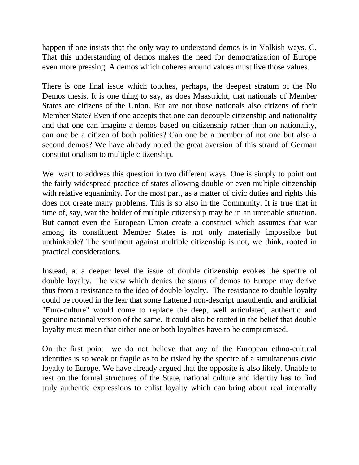happen if one insists that the only way to understand demos is in Volkish ways. C. That this understanding of demos makes the need for democratization of Europe even more pressing. A demos which coheres around values must live those values.

There is one final issue which touches, perhaps, the deepest stratum of the No Demos thesis. It is one thing to say, as does Maastricht, that nationals of Member States are citizens of the Union. But are not those nationals also citizens of their Member State? Even if one accepts that one can decouple citizenship and nationality and that one can imagine a demos based on citizenship rather than on nationality, can one be a citizen of both polities? Can one be a member of not one but also a second demos? We have already noted the great aversion of this strand of German constitutionalism to multiple citizenship.

We want to address this question in two different ways. One is simply to point out the fairly widespread practice of states allowing double or even multiple citizenship with relative equanimity. For the most part, as a matter of civic duties and rights this does not create many problems. This is so also in the Community. It is true that in time of, say, war the holder of multiple citizenship may be in an untenable situation. But cannot even the European Union create a construct which assumes that war among its constituent Member States is not only materially impossible but unthinkable? The sentiment against multiple citizenship is not, we think, rooted in practical considerations.

Instead, at a deeper level the issue of double citizenship evokes the spectre of double loyalty. The view which denies the status of demos to Europe may derive thus from a resistance to the idea of double loyalty. The resistance to double loyalty could be rooted in the fear that some flattened non-descript unauthentic and artificial "Euro-culture" would come to replace the deep, well articulated, authentic and genuine national version of the same. It could also be rooted in the belief that double loyalty must mean that either one or both loyalties have to be compromised.

On the first point we do not believe that any of the European ethno-cultural identities is so weak or fragile as to be risked by the spectre of a simultaneous civic loyalty to Europe. We have already argued that the opposite is also likely. Unable to rest on the formal structures of the State, national culture and identity has to find truly authentic expressions to enlist loyalty which can bring about real internally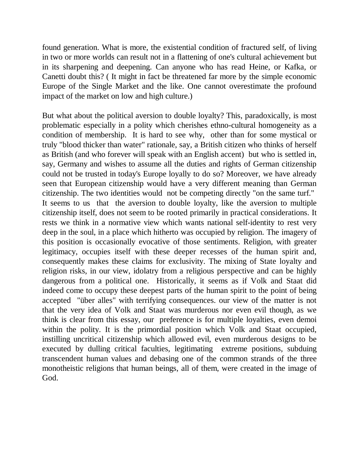found generation. What is more, the existential condition of fractured self, of living in two or more worlds can result not in a flattening of one's cultural achievement but in its sharpening and deepening. Can anyone who has read Heine, or Kafka, or Canetti doubt this? ( It might in fact be threatened far more by the simple economic Europe of the Single Market and the like. One cannot overestimate the profound impact of the market on low and high culture.)

But what about the political aversion to double loyalty? This, paradoxically, is most problematic especially in a polity which cherishes ethno-cultural homogeneity as a condition of membership. It is hard to see why, other than for some mystical or truly "blood thicker than water" rationale, say, a British citizen who thinks of herself as British (and who forever will speak with an English accent) but who is settled in, say, Germany and wishes to assume all the duties and rights of German citizenship could not be trusted in today's Europe loyally to do so? Moreover, we have already seen that European citizenship would have a very different meaning than German citizenship. The two identities would not be competing directly "on the same turf." It seems to us that the aversion to double loyalty, like the aversion to multiple citizenship itself, does not seem to be rooted primarily in practical considerations. It rests we think in a normative view which wants national self-identity to rest very deep in the soul, in a place which hitherto was occupied by religion. The imagery of this position is occasionally evocative of those sentiments. Religion, with greater legitimacy, occupies itself with these deeper recesses of the human spirit and, consequently makes these claims for exclusivity. The mixing of State loyalty and religion risks, in our view, idolatry from a religious perspective and can be highly dangerous from a political one. Historically, it seems as if Volk and Staat did indeed come to occupy these deepest parts of the human spirit to the point of being accepted "über alles" with terrifying consequences. our view of the matter is not that the very idea of Volk and Staat was murderous nor even evil though, as we think is clear from this essay, our preference is for multiple loyalties, even demoi within the polity. It is the primordial position which Volk and Staat occupied, instilling uncritical citizenship which allowed evil, even murderous designs to be executed by dulling critical faculties, legitimating extreme positions, subduing transcendent human values and debasing one of the common strands of the three monotheistic religions that human beings, all of them, were created in the image of God.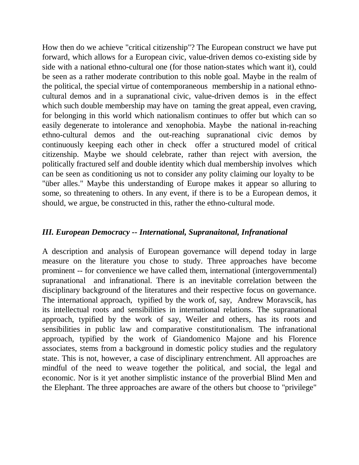How then do we achieve "critical citizenship"? The European construct we have put forward, which allows for a European civic, value-driven demos co-existing side by side with a national ethno-cultural one (for those nation-states which want it), could be seen as a rather moderate contribution to this noble goal. Maybe in the realm of the political, the special virtue of contemporaneous membership in a national ethnocultural demos and in a supranational civic, value-driven demos is in the effect which such double membership may have on taming the great appeal, even craving, for belonging in this world which nationalism continues to offer but which can so easily degenerate to intolerance and xenophobia. Maybe the national in-reaching ethno-cultural demos and the out-reaching supranational civic demos by continuously keeping each other in check offer a structured model of critical citizenship. Maybe we should celebrate, rather than reject with aversion, the politically fractured self and double identity which dual membership involves which can be seen as conditioning us not to consider any polity claiming our loyalty to be "über alles." Maybe this understanding of Europe makes it appear so alluring to some, so threatening to others. In any event, if there is to be a European demos, it should, we argue, be constructed in this, rather the ethno-cultural mode.

#### *III. European Democracy -- International, Supranaitonal, Infranational*

A description and analysis of European governance will depend today in large measure on the literature you chose to study. Three approaches have become prominent -- for convenience we have called them, international (intergovernmental) supranational and infranational. There is an inevitable correlation between the disciplinary background of the literatures and their respective focus on governance. The international approach, typified by the work of, say, Andrew Moravscik, has its intellectual roots and sensibilities in international relations. The supranational approach, typified by the work of say, Weiler and others, has its roots and sensibilities in public law and comparative constitutionalism. The infranational approach, typified by the work of Giandomenico Majone and his Florence associates, stems from a background in domestic policy studies and the regulatory state. This is not, however, a case of disciplinary entrenchment. All approaches are mindful of the need to weave together the political, and social, the legal and economic. Nor is it yet another simplistic instance of the proverbial Blind Men and the Elephant. The three approaches are aware of the others but choose to "privilege"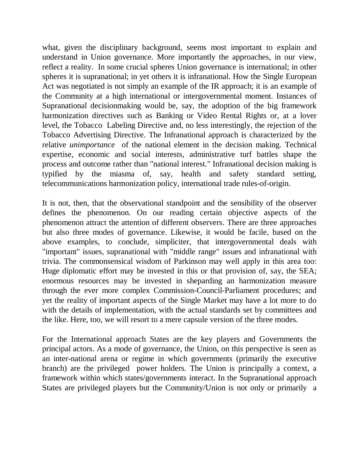what, given the disciplinary background, seems most important to explain and understand in Union governance. More importantly the approaches, in our view, reflect a reality. In some crucial spheres Union governance is international; in other spheres it is supranational; in yet others it is infranational. How the Single European Act was negotiated is not simply an example of the IR approach; it is an example of the Community at a high international or intergovernmental moment. Instances of Supranational decisionmaking would be, say, the adoption of the big framework harmonization directives such as Banking or Video Rental Rights or, at a lover level, the Tobacco Labeling Directive and, no less interestingly, the rejection of the Tobacco Advertising Directive. The Infranational approach is characterized by the relative *unimportance* of the national element in the decision making. Technical expertise, economic and social interests, administrative turf battles shape the process and outcome rather than "national interest." Infranational decision making is typified by the miasma of, say, health and safety standard setting, telecommunications harmonization policy, international trade rules-of-origin.

It is not, then, that the observational standpoint and the sensibility of the observer defines the phenomenon. On our reading certain objective aspects of the phenomenon attract the attention of different observers. There are three approaches but also three modes of governance. Likewise, it would be facile, based on the above examples, to conclude, simpliciter, that intergovernmental deals with "important" issues, supranational with "middle range" issues and infranational with trivia. The commonsensical wisdom of Parkinson may well apply in this area too: Huge diplomatic effort may be invested in this or that provision of, say, the SEA; enormous resources may be invested in sheparding an harmonization measure through the ever more complex Commission-Council-Parliament procedures; and yet the reality of important aspects of the Single Market may have a lot more to do with the details of implementation, with the actual standards set by committees and the like. Here, too, we will resort to a mere capsule version of the three modes.

For the International approach States are the key players and Governments the principal actors. As a mode of governance, the Union, on this perspective is seen as an inter-national arena or regime in which governments (primarily the executive branch) are the privileged power holders. The Union is principally a context, a framework within which states/governments interact. In the Supranational approach States are privileged players but the Community/Union is not only or primarily a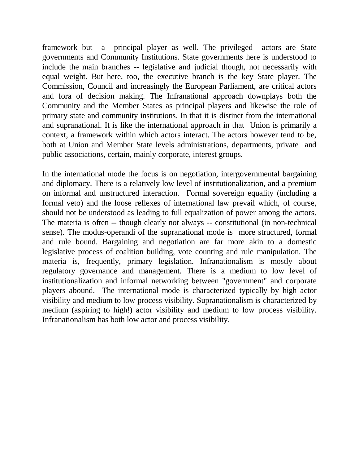framework but a principal player as well. The privileged actors are State governments and Community Institutions. State governments here is understood to include the main branches -- legislative and judicial though, not necessarily with equal weight. But here, too, the executive branch is the key State player. The Commission, Council and increasingly the European Parliament, are critical actors and fora of decision making. The Infranational approach downplays both the Community and the Member States as principal players and likewise the role of primary state and community institutions. In that it is distinct from the international and supranational. It is like the international approach in that Union is primarily a context, a framework within which actors interact. The actors however tend to be, both at Union and Member State levels administrations, departments, private and public associations, certain, mainly corporate, interest groups.

In the international mode the focus is on negotiation, intergovernmental bargaining and diplomacy. There is a relatively low level of institutionalization, and a premium on informal and unstructured interaction. Formal sovereign equality (including a formal veto) and the loose reflexes of international law prevail which, of course, should not be understood as leading to full equalization of power among the actors. The materia is often -- though clearly not always -- constitutional (in non-technical sense). The modus-operandi of the supranational mode is more structured, formal and rule bound. Bargaining and negotiation are far more akin to a domestic legislative process of coalition building, vote counting and rule manipulation. The materia is, frequently, primary legislation. Infranationalism is mostly about regulatory governance and management. There is a medium to low level of institutionalization and informal networking between "government" and corporate players abound. The international mode is characterized typically by high actor visibility and medium to low process visibility. Supranationalism is characterized by medium (aspiring to high!) actor visibility and medium to low process visibility. Infranationalism has both low actor and process visibility.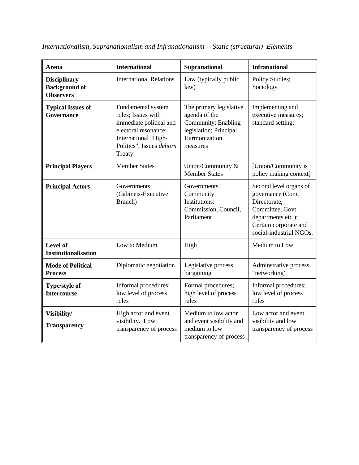| <b>Arena</b>                                                    | <b>International</b>                                                                                                                                      | <b>Supranational</b>                                                                                                    | <b>Infranational</b>                                                                                                                                     |
|-----------------------------------------------------------------|-----------------------------------------------------------------------------------------------------------------------------------------------------------|-------------------------------------------------------------------------------------------------------------------------|----------------------------------------------------------------------------------------------------------------------------------------------------------|
| <b>Disciplinary</b><br><b>Background of</b><br><b>Observers</b> | <b>International Relations</b>                                                                                                                            | Law (typically public<br>law)                                                                                           | Policy Studies;<br>Sociology                                                                                                                             |
| <b>Typical Issues of</b><br>Governance                          | Fundamental system<br>rules; Issues with<br>immediate political and<br>electoral resonance;<br>International "High-<br>Politics"; Issues dehors<br>Treaty | The primary legislative<br>agenda of the<br>Community; Enabling-<br>legislation; Principal<br>Harmonization<br>measures | Implementing and<br>executive measures;<br>standard setting;                                                                                             |
| <b>Principal Players</b>                                        | <b>Member States</b>                                                                                                                                      | Union/Community &<br><b>Member States</b>                                                                               | [Union/Community is<br>policy making context]                                                                                                            |
| <b>Principal Actors</b>                                         | Governments<br>(Cabinets-Executive<br>Branch)                                                                                                             | Governments,<br>Community<br>Institutions:<br>Commission, Council,<br>Parliament                                        | Second level organs of<br>governance (Com.<br>Directorate,<br>Committee, Govt.<br>departments etc.);<br>Certain corporate and<br>social-industrial NGOs. |
| Level of<br><b>Institutionalisation</b>                         | Low to Medium                                                                                                                                             | High                                                                                                                    | Medium to Low                                                                                                                                            |
| <b>Mode of Political</b><br><b>Process</b>                      | Diplomatic negotiation                                                                                                                                    | Legislative process<br>bargaining                                                                                       | Adminstrative process,<br>"networking"                                                                                                                   |
| Type/style of<br><b>Intercourse</b>                             | Informal procedures;<br>low level of process<br>rules                                                                                                     | Formal procedures;<br>high level of process<br>rules                                                                    | Informal procedures;<br>low level of process<br>rules                                                                                                    |
| Visibility/<br><b>Transparency</b>                              | High actor and event<br>visibility. Low<br>transparency of process                                                                                        | Medium to low actor<br>and event visibility and<br>medium to low<br>transparency of process                             | Low actor and event<br>visibility and low<br>transparency of process                                                                                     |

*Internationalism, Supranationalism and Infranationalism -- Static (structural) Elements*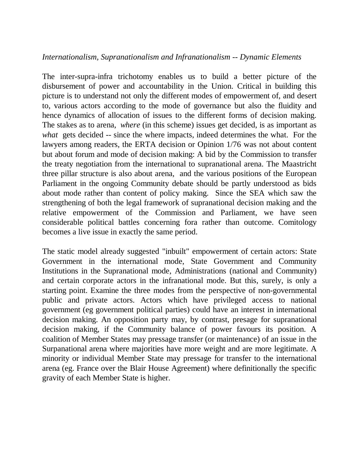#### *Internationalism, Supranationalism and Infranationalism -- Dynamic Elements*

The inter-supra-infra trichotomy enables us to build a better picture of the disbursement of power and accountability in the Union. Critical in building this picture is to understand not only the different modes of empowerment of, and desert to, various actors according to the mode of governance but also the fluidity and hence dynamics of allocation of issues to the different forms of decision making. The stakes as to arena, *where* (in this scheme) issues get decided, is as important as *what* gets decided -- since the where impacts, indeed determines the what. For the lawyers among readers, the ERTA decision or Opinion 1/76 was not about content but about forum and mode of decision making: A bid by the Commission to transfer the treaty negotiation from the international to supranational arena. The Maastricht three pillar structure is also about arena, and the various positions of the European Parliament in the ongoing Community debate should be partly understood as bids about mode rather than content of policy making. Since the SEA which saw the strengthening of both the legal framework of supranational decision making and the relative empowerment of the Commission and Parliament, we have seen considerable political battles concerning fora rather than outcome. Comitology becomes a live issue in exactly the same period.

The static model already suggested "inbuilt" empowerment of certain actors: State Government in the international mode, State Government and Community Institutions in the Supranational mode, Administrations (national and Community) and certain corporate actors in the infranational mode. But this, surely, is only a starting point. Examine the three modes from the perspective of non-governmental public and private actors. Actors which have privileged access to national government (eg government political parties) could have an interest in international decision making. An opposition party may, by contrast, presage for supranational decision making, if the Community balance of power favours its position. A coalition of Member States may pressage transfer (or maintenance) of an issue in the Surpanational arena where majorities have more weight and are more legitimate. A minority or individual Member State may pressage for transfer to the international arena (eg. France over the Blair House Agreement) where definitionally the specific gravity of each Member State is higher.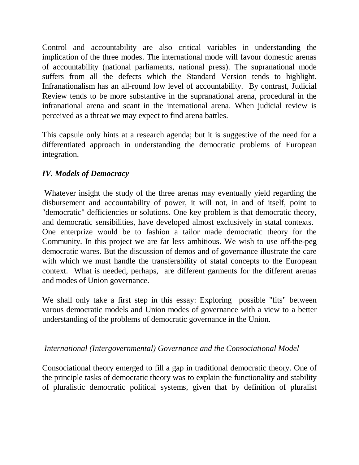Control and accountability are also critical variables in understanding the implication of the three modes. The international mode will favour domestic arenas of accountability (national parliaments, national press). The supranational mode suffers from all the defects which the Standard Version tends to highlight. Infranationalism has an all-round low level of accountability. By contrast, Judicial Review tends to be more substantive in the supranational arena, procedural in the infranational arena and scant in the international arena. When judicial review is perceived as a threat we may expect to find arena battles.

This capsule only hints at a research agenda; but it is suggestive of the need for a differentiated approach in understanding the democratic problems of European integration.

## *IV. Models of Democracy*

 Whatever insight the study of the three arenas may eventually yield regarding the disbursement and accountability of power, it will not, in and of itself, point to "democratic" defficiencies or solutions. One key problem is that democratic theory, and democratic sensibilities, have developed almost exclusively in statal contexts. One enterprize would be to fashion a tailor made democratic theory for the Community. In this project we are far less ambitious. We wish to use off-the-peg democratic wares. But the discussion of demos and of governance illustrate the care with which we must handle the transferability of statal concepts to the European context. What is needed, perhaps, are different garments for the different arenas and modes of Union governance.

We shall only take a first step in this essay: Exploring possible "fits" between varous democratic models and Union modes of governance with a view to a better understanding of the problems of democratic governance in the Union.

## *International (Intergovernmental) Governance and the Consociational Model*

Consociational theory emerged to fill a gap in traditional democratic theory. One of the principle tasks of democratic theory was to explain the functionality and stability of pluralistic democratic political systems, given that by definition of pluralist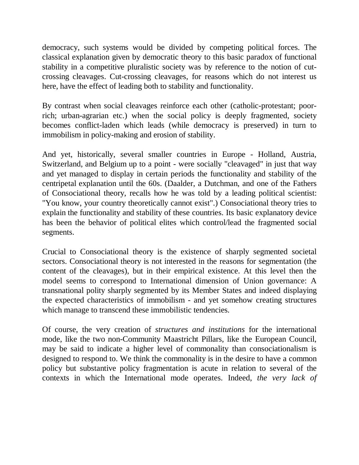democracy, such systems would be divided by competing political forces. The classical explanation given by democratic theory to this basic paradox of functional stability in a competitive pluralistic society was by reference to the notion of cutcrossing cleavages. Cut-crossing cleavages, for reasons which do not interest us here, have the effect of leading both to stability and functionality.

By contrast when social cleavages reinforce each other (catholic-protestant; poorrich; urban-agrarian etc.) when the social policy is deeply fragmented, society becomes conflict-laden which leads (while democracy is preserved) in turn to immobilism in policy-making and erosion of stability.

And yet, historically, several smaller countries in Europe - Holland, Austria, Switzerland, and Belgium up to a point - were socially "cleavaged" in just that way and yet managed to display in certain periods the functionality and stability of the centripetal explanation until the 60s. (Daalder, a Dutchman, and one of the Fathers of Consociational theory, recalls how he was told by a leading political scientist: "You know, your country theoretically cannot exist".) Consociational theory tries to explain the functionality and stability of these countries. Its basic explanatory device has been the behavior of political elites which control/lead the fragmented social segments.

Crucial to Consociational theory is the existence of sharply segmented societal sectors. Consociational theory is not interested in the reasons for segmentation (the content of the cleavages), but in their empirical existence. At this level then the model seems to correspond to International dimension of Union governance: A transnational polity sharply segmented by its Member States and indeed displaying the expected characteristics of immobilism - and yet somehow creating structures which manage to transcend these immobilistic tendencies.

Of course, the very creation of *structures and institutions* for the international mode, like the two non-Community Maastricht Pillars, like the European Council, may be said to indicate a higher level of commonality than consociationalism is designed to respond to. We think the commonality is in the desire to have a common policy but substantive policy fragmentation is acute in relation to several of the contexts in which the International mode operates. Indeed, *the very lack of*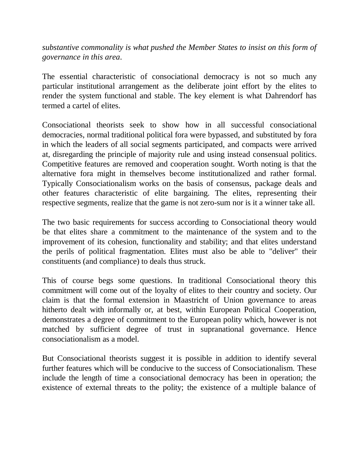*substantive commonality is what pushed the Member States to insist on this form of governance in this area*.

The essential characteristic of consociational democracy is not so much any particular institutional arrangement as the deliberate joint effort by the elites to render the system functional and stable. The key element is what Dahrendorf has termed a cartel of elites.

Consociational theorists seek to show how in all successful consociational democracies, normal traditional political fora were bypassed, and substituted by fora in which the leaders of all social segments participated, and compacts were arrived at, disregarding the principle of majority rule and using instead consensual politics. Competitive features are removed and cooperation sought. Worth noting is that the alternative fora might in themselves become institutionalized and rather formal. Typically Consociationalism works on the basis of consensus, package deals and other features characteristic of elite bargaining. The elites, representing their respective segments, realize that the game is not zero-sum nor is it a winner take all.

The two basic requirements for success according to Consociational theory would be that elites share a commitment to the maintenance of the system and to the improvement of its cohesion, functionality and stability; and that elites understand the perils of political fragmentation. Elites must also be able to "deliver" their constituents (and compliance) to deals thus struck.

This of course begs some questions. In traditional Consociational theory this commitment will come out of the loyalty of elites to their country and society. Our claim is that the formal extension in Maastricht of Union governance to areas hitherto dealt with informally or, at best, within European Political Cooperation, demonstrates a degree of commitment to the European polity which, however is not matched by sufficient degree of trust in supranational governance. Hence consociationalism as a model.

But Consociational theorists suggest it is possible in addition to identify several further features which will be conducive to the success of Consociationalism. These include the length of time a consociational democracy has been in operation; the existence of external threats to the polity; the existence of a multiple balance of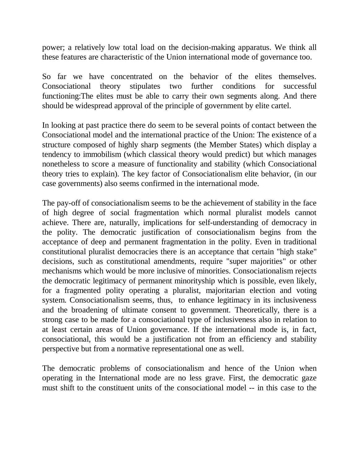power; a relatively low total load on the decision-making apparatus. We think all these features are characteristic of the Union international mode of governance too.

So far we have concentrated on the behavior of the elites themselves. Consociational theory stipulates two further conditions for successful functioning:The elites must be able to carry their own segments along. And there should be widespread approval of the principle of government by elite cartel.

In looking at past practice there do seem to be several points of contact between the Consociational model and the international practice of the Union: The existence of a structure composed of highly sharp segments (the Member States) which display a tendency to immobilism (which classical theory would predict) but which manages nonetheless to score a measure of functionality and stability (which Consociational theory tries to explain). The key factor of Consociationalism elite behavior, (in our case governments) also seems confirmed in the international mode.

The pay-off of consociationalism seems to be the achievement of stability in the face of high degree of social fragmentation which normal pluralist models cannot achieve. There are, naturally, implications for self-understanding of democracy in the polity. The democratic justification of consociationalism begins from the acceptance of deep and permanent fragmentation in the polity. Even in traditional constitutional pluralist democracies there is an acceptance that certain "high stake" decisions, such as constitutional amendments, require "super majorities" or other mechanisms which would be more inclusive of minorities. Consociationalism rejects the democratic legitimacy of permanent minorityship which is possible, even likely, for a fragmented polity operating a pluralist, majoritarian election and voting system. Consociationalism seems, thus, to enhance legitimacy in its inclusiveness and the broadening of ultimate consent to government. Theoretically, there is a strong case to be made for a consociational type of inclusiveness also in relation to at least certain areas of Union governance. If the international mode is, in fact, consociational, this would be a justification not from an efficiency and stability perspective but from a normative representational one as well.

The democratic problems of consociationalism and hence of the Union when operating in the International mode are no less grave. First, the democratic gaze must shift to the constituent units of the consociational model -- in this case to the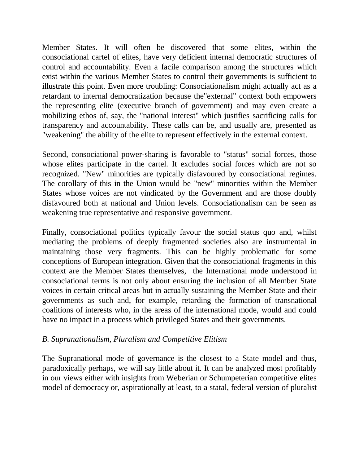Member States. It will often be discovered that some elites, within the consociational cartel of elites, have very deficient internal democratic structures of control and accountability. Even a facile comparison among the structures which exist within the various Member States to control their governments is sufficient to illustrate this point. Even more troubling: Consociationalism might actually act as a retardant to internal democratization because the"external" context both empowers the representing elite (executive branch of government) and may even create a mobilizing ethos of, say, the "national interest" which justifies sacrificing calls for transparency and accountability. These calls can be, and usually are, presented as "weakening" the ability of the elite to represent effectively in the external context.

Second, consociational power-sharing is favorable to "status" social forces, those whose elites participate in the cartel. It excludes social forces which are not so recognized. "New" minorities are typically disfavoured by consociational regimes. The corollary of this in the Union would be "new" minorities within the Member States whose voices are not vindicated by the Government and are those doubly disfavoured both at national and Union levels. Consociationalism can be seen as weakening true representative and responsive government.

Finally, consociational politics typically favour the social status quo and, whilst mediating the problems of deeply fragmented societies also are instrumental in maintaining those very fragments. This can be highly problematic for some conceptions of European integration. Given that the consociational fragments in this context are the Member States themselves, the International mode understood in consociational terms is not only about ensuring the inclusion of all Member State voices in certain critical areas but in actually sustaining the Member State and their governments as such and, for example, retarding the formation of transnational coalitions of interests who, in the areas of the international mode, would and could have no impact in a process which privileged States and their governments.

### *B. Supranationalism, Pluralism and Competitive Elitism*

The Supranational mode of governance is the closest to a State model and thus, paradoxically perhaps, we will say little about it. It can be analyzed most profitably in our views either with insights from Weberian or Schumpeterian competitive elites model of democracy or, aspirationally at least, to a statal, federal version of pluralist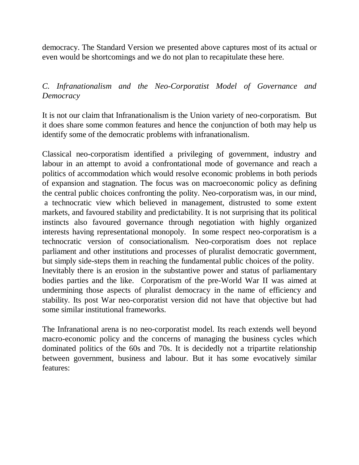democracy. The Standard Version we presented above captures most of its actual or even would be shortcomings and we do not plan to recapitulate these here.

*C. Infranationalism and the Neo-Corporatist Model of Governance and Democracy*

It is not our claim that Infranationalism is the Union variety of neo-corporatism. But it does share some common features and hence the conjunction of both may help us identify some of the democratic problems with infranationalism.

Classical neo-corporatism identified a privileging of government, industry and labour in an attempt to avoid a confrontational mode of governance and reach a politics of accommodation which would resolve economic problems in both periods of expansion and stagnation. The focus was on macroeconomic policy as defining the central public choices confronting the polity. Neo-corporatism was, in our mind, a technocratic view which believed in management, distrusted to some extent markets, and favoured stability and predictability. It is not surprising that its political instincts also favoured governance through negotiation with highly organized interests having representational monopoly. In some respect neo-corporatism is a technocratic version of consociationalism. Neo-corporatism does not replace parliament and other institutions and processes of pluralist democratic government, but simply side-steps them in reaching the fundamental public choices of the polity. Inevitably there is an erosion in the substantive power and status of parliamentary bodies parties and the like. Corporatism of the pre-World War II was aimed at undermining those aspects of pluralist democracy in the name of efficiency and stability. Its post War neo-corporatist version did not have that objective but had some similar institutional frameworks.

The Infranational arena is no neo-corporatist model. Its reach extends well beyond macro-economic policy and the concerns of managing the business cycles which dominated politics of the 60s and 70s. It is decidedly not a tripartite relationship between government, business and labour. But it has some evocatively similar features: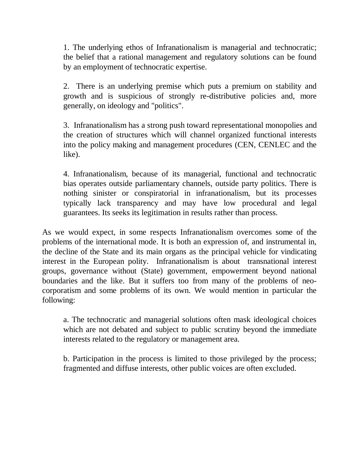1. The underlying ethos of Infranationalism is managerial and technocratic; the belief that a rational management and regulatory solutions can be found by an employment of technocratic expertise.

2. There is an underlying premise which puts a premium on stability and growth and is suspicious of strongly re-distributive policies and, more generally, on ideology and "politics".

3. Infranationalism has a strong push toward representational monopolies and the creation of structures which will channel organized functional interests into the policy making and management procedures (CEN, CENLEC and the like).

4. Infranationalism, because of its managerial, functional and technocratic bias operates outside parliamentary channels, outside party politics. There is nothing sinister or conspiratorial in infranationalism, but its processes typically lack transparency and may have low procedural and legal guarantees. Its seeks its legitimation in results rather than process.

As we would expect, in some respects Infranationalism overcomes some of the problems of the international mode. It is both an expression of, and instrumental in, the decline of the State and its main organs as the principal vehicle for vindicating interest in the European polity. Infranationalism is about transnational interest groups, governance without (State) government, empowerment beyond national boundaries and the like. But it suffers too from many of the problems of neocorporatism and some problems of its own. We would mention in particular the following:

a. The technocratic and managerial solutions often mask ideological choices which are not debated and subject to public scrutiny beyond the immediate interests related to the regulatory or management area.

b. Participation in the process is limited to those privileged by the process; fragmented and diffuse interests, other public voices are often excluded.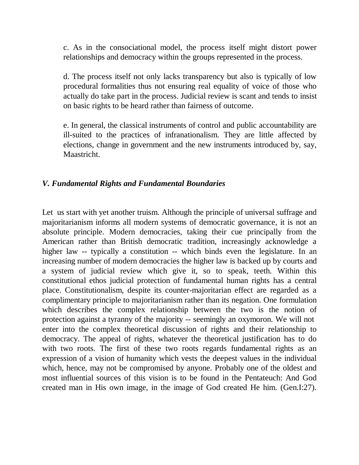c. As in the consociational model, the process itself might distort power relationships and democracy within the groups represented in the process.

d. The process itself not only lacks transparency but also is typically of low procedural formalities thus not ensuring real equality of voice of those who actually do take part in the process. Judicial review is scant and tends to insist on basic rights to be heard rather than fairness of outcome.

e. In general, the classical instruments of control and public accountability are ill-suited to the practices of infranationalism. They are little affected by elections, change in government and the new instruments introduced by, say, Maastricht.

#### *V. Fundamental Rights and Fundamental Boundaries*

Let us start with yet another truism. Although the principle of universal suffrage and majoritarianism informs all modern systems of democratic governance, it is not an absolute principle. Modern democracies, taking their cue principally from the American rather than British democratic tradition, increasingly acknowledge a higher law -- typically a constitution -- which binds even the legislature. In an increasing number of modern democracies the higher law is backed up by courts and a system of judicial review which give it, so to speak, teeth. Within this constitutional ethos judicial protection of fundamental human rights has a central place. Constitutionalism, despite its counter-majoritarian effect are regarded as a complimentary principle to majoritarianism rather than its negation. One formulation which describes the complex relationship between the two is the notion of protection against a tyranny of the majority -- seemingly an oxymoron. We will not enter into the complex theoretical discussion of rights and their relationship to democracy. The appeal of rights, whatever the theoretical justification has to do with two roots. The first of these two roots regards fundamental rights as an expression of a vision of humanity which vests the deepest values in the individual which, hence, may not be compromised by anyone. Probably one of the oldest and most influential sources of this vision is to be found in the Pentateuch: And God created man in His own image, in the image of God created He him. (Gen.I:27).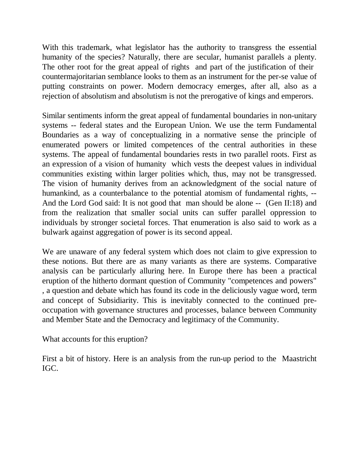With this trademark, what legislator has the authority to transgress the essential humanity of the species? Naturally, there are secular, humanist parallels a plenty. The other root for the great appeal of rights and part of the justification of their countermajoritarian semblance looks to them as an instrument for the per-se value of putting constraints on power. Modern democracy emerges, after all, also as a rejection of absolutism and absolutism is not the prerogative of kings and emperors.

Similar sentiments inform the great appeal of fundamental boundaries in non-unitary systems -- federal states and the European Union. We use the term Fundamental Boundaries as a way of conceptualizing in a normative sense the principle of enumerated powers or limited competences of the central authorities in these systems. The appeal of fundamental boundaries rests in two parallel roots. First as an expression of a vision of humanity which vests the deepest values in individual communities existing within larger polities which, thus, may not be transgressed. The vision of humanity derives from an acknowledgment of the social nature of humankind, as a counterbalance to the potential atomism of fundamental rights, -- And the Lord God said: It is not good that man should be alone -- (Gen II:18) and from the realization that smaller social units can suffer parallel oppression to individuals by stronger societal forces. That enumeration is also said to work as a bulwark against aggregation of power is its second appeal.

We are unaware of any federal system which does not claim to give expression to these notions. But there are as many variants as there are systems. Comparative analysis can be particularly alluring here. In Europe there has been a practical eruption of the hitherto dormant question of Community "competences and powers" , a question and debate which has found its code in the deliciously vague word, term and concept of Subsidiarity. This is inevitably connected to the continued preoccupation with governance structures and processes, balance between Community and Member State and the Democracy and legitimacy of the Community.

What accounts for this eruption?

First a bit of history. Here is an analysis from the run-up period to the Maastricht IGC.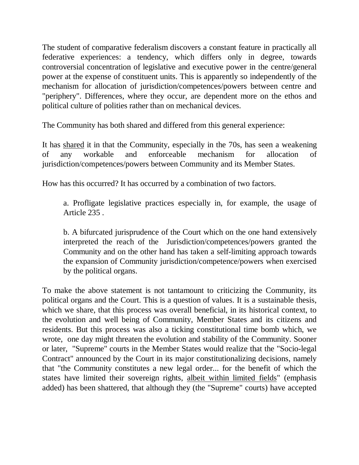The student of comparative federalism discovers a constant feature in practically all federative experiences: a tendency, which differs only in degree, towards controversial concentration of legislative and executive power in the centre/general power at the expense of constituent units. This is apparently so independently of the mechanism for allocation of jurisdiction/competences/powers between centre and "periphery". Differences, where they occur, are dependent more on the ethos and political culture of polities rather than on mechanical devices.

The Community has both shared and differed from this general experience:

It has shared it in that the Community, especially in the 70s, has seen a weakening of any workable and enforceable mechanism for allocation of jurisdiction/competences/powers between Community and its Member States.

How has this occurred? It has occurred by a combination of two factors.

a. Profligate legislative practices especially in, for example, the usage of Article 235 .

b. A bifurcated jurisprudence of the Court which on the one hand extensively interpreted the reach of the Jurisdiction/competences/powers granted the Community and on the other hand has taken a self-limiting approach towards the expansion of Community jurisdiction/competence/powers when exercised by the political organs.

To make the above statement is not tantamount to criticizing the Community, its political organs and the Court. This is a question of values. It is a sustainable thesis, which we share, that this process was overall beneficial, in its historical context, to the evolution and well being of Community, Member States and its citizens and residents. But this process was also a ticking constitutional time bomb which, we wrote, one day might threaten the evolution and stability of the Community. Sooner or later, "Supreme" courts in the Member States would realize that the "Socio-legal Contract" announced by the Court in its major constitutionalizing decisions, namely that "the Community constitutes a new legal order... for the benefit of which the states have limited their sovereign rights, albeit within limited fields" (emphasis added) has been shattered, that although they (the "Supreme" courts) have accepted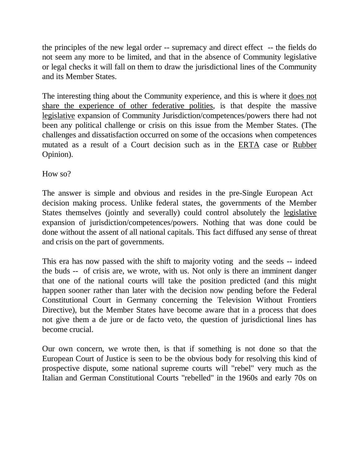the principles of the new legal order -- supremacy and direct effect -- the fields do not seem any more to be limited, and that in the absence of Community legislative or legal checks it will fall on them to draw the jurisdictional lines of the Community and its Member States.

The interesting thing about the Community experience, and this is where it does not share the experience of other federative polities, is that despite the massive legislative expansion of Community Jurisdiction/competences/powers there had not been any political challenge or crisis on this issue from the Member States. (The challenges and dissatisfaction occurred on some of the occasions when competences mutated as a result of a Court decision such as in the ERTA case or Rubber Opinion).

How so?

The answer is simple and obvious and resides in the pre-Single European Act decision making process. Unlike federal states, the governments of the Member States themselves (jointly and severally) could control absolutely the legislative expansion of jurisdiction/competences/powers. Nothing that was done could be done without the assent of all national capitals. This fact diffused any sense of threat and crisis on the part of governments.

This era has now passed with the shift to majority voting and the seeds -- indeed the buds -- of crisis are, we wrote, with us. Not only is there an imminent danger that one of the national courts will take the position predicted (and this might happen sooner rather than later with the decision now pending before the Federal Constitutional Court in Germany concerning the Television Without Frontiers Directive), but the Member States have become aware that in a process that does not give them a de jure or de facto veto, the question of jurisdictional lines has become crucial.

Our own concern, we wrote then, is that if something is not done so that the European Court of Justice is seen to be the obvious body for resolving this kind of prospective dispute, some national supreme courts will "rebel" very much as the Italian and German Constitutional Courts "rebelled" in the 1960s and early 70s on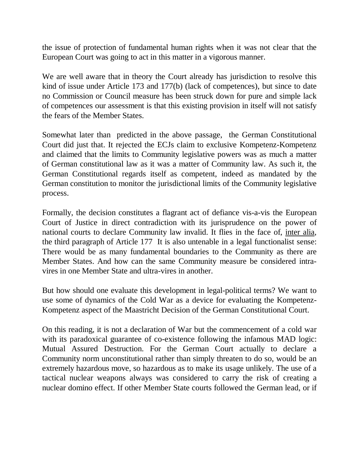the issue of protection of fundamental human rights when it was not clear that the European Court was going to act in this matter in a vigorous manner.

We are well aware that in theory the Court already has jurisdiction to resolve this kind of issue under Article 173 and 177(b) (lack of competences), but since to date no Commission or Council measure has been struck down for pure and simple lack of competences our assessment is that this existing provision in itself will not satisfy the fears of the Member States.

Somewhat later than predicted in the above passage, the German Constitutional Court did just that. It rejected the ECJs claim to exclusive Kompetenz-Kompetenz and claimed that the limits to Community legislative powers was as much a matter of German constitutional law as it was a matter of Community law. As such it, the German Constitutional regards itself as competent, indeed as mandated by the German constitution to monitor the jurisdictional limits of the Community legislative process.

Formally, the decision constitutes a flagrant act of defiance vis-a-vis the European Court of Justice in direct contradiction with its jurisprudence on the power of national courts to declare Community law invalid. It flies in the face of, inter alia, the third paragraph of Article 177 It is also untenable in a legal functionalist sense: There would be as many fundamental boundaries to the Community as there are Member States. And how can the same Community measure be considered intravires in one Member State and ultra-vires in another.

But how should one evaluate this development in legal-political terms? We want to use some of dynamics of the Cold War as a device for evaluating the Kompetenz-Kompetenz aspect of the Maastricht Decision of the German Constitutional Court.

On this reading, it is not a declaration of War but the commencement of a cold war with its paradoxical guarantee of co-existence following the infamous MAD logic: Mutual Assured Destruction. For the German Court actually to declare a Community norm unconstitutional rather than simply threaten to do so, would be an extremely hazardous move, so hazardous as to make its usage unlikely. The use of a tactical nuclear weapons always was considered to carry the risk of creating a nuclear domino effect. If other Member State courts followed the German lead, or if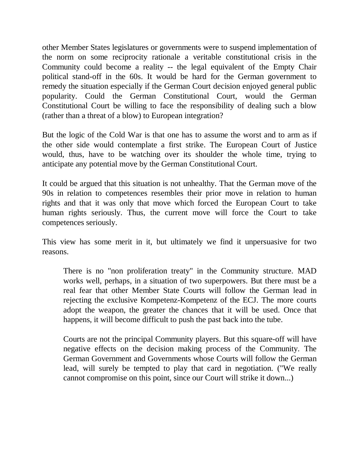other Member States legislatures or governments were to suspend implementation of the norm on some reciprocity rationale a veritable constitutional crisis in the Community could become a reality -- the legal equivalent of the Empty Chair political stand-off in the 60s. It would be hard for the German government to remedy the situation especially if the German Court decision enjoyed general public popularity. Could the German Constitutional Court, would the German Constitutional Court be willing to face the responsibility of dealing such a blow (rather than a threat of a blow) to European integration?

But the logic of the Cold War is that one has to assume the worst and to arm as if the other side would contemplate a first strike. The European Court of Justice would, thus, have to be watching over its shoulder the whole time, trying to anticipate any potential move by the German Constitutional Court.

It could be argued that this situation is not unhealthy. That the German move of the 90s in relation to competences resembles their prior move in relation to human rights and that it was only that move which forced the European Court to take human rights seriously. Thus, the current move will force the Court to take competences seriously.

This view has some merit in it, but ultimately we find it unpersuasive for two reasons.

There is no "non proliferation treaty" in the Community structure. MAD works well, perhaps, in a situation of two superpowers. But there must be a real fear that other Member State Courts will follow the German lead in rejecting the exclusive Kompetenz-Kompetenz of the ECJ. The more courts adopt the weapon, the greater the chances that it will be used. Once that happens, it will become difficult to push the past back into the tube.

Courts are not the principal Community players. But this square-off will have negative effects on the decision making process of the Community. The German Government and Governments whose Courts will follow the German lead, will surely be tempted to play that card in negotiation. ("We really cannot compromise on this point, since our Court will strike it down...)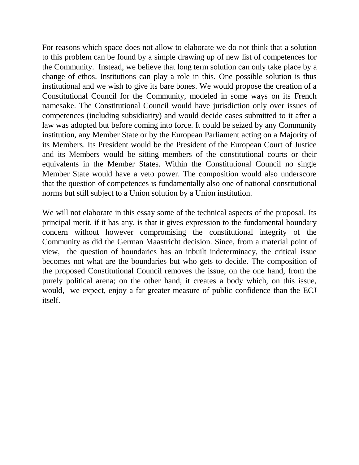For reasons which space does not allow to elaborate we do not think that a solution to this problem can be found by a simple drawing up of new list of competences for the Community. Instead, we believe that long term solution can only take place by a change of ethos. Institutions can play a role in this. One possible solution is thus institutional and we wish to give its bare bones. We would propose the creation of a Constitutional Council for the Community, modeled in some ways on its French namesake. The Constitutional Council would have jurisdiction only over issues of competences (including subsidiarity) and would decide cases submitted to it after a law was adopted but before coming into force. It could be seized by any Community institution, any Member State or by the European Parliament acting on a Majority of its Members. Its President would be the President of the European Court of Justice and its Members would be sitting members of the constitutional courts or their equivalents in the Member States. Within the Constitutional Council no single Member State would have a veto power. The composition would also underscore that the question of competences is fundamentally also one of national constitutional norms but still subject to a Union solution by a Union institution.

We will not elaborate in this essay some of the technical aspects of the proposal. Its principal merit, if it has any, is that it gives expression to the fundamental boundary concern without however compromising the constitutional integrity of the Community as did the German Maastricht decision. Since, from a material point of view, the question of boundaries has an inbuilt indeterminacy, the critical issue becomes not what are the boundaries but who gets to decide. The composition of the proposed Constitutional Council removes the issue, on the one hand, from the purely political arena; on the other hand, it creates a body which, on this issue, would, we expect, enjoy a far greater measure of public confidence than the ECJ itself.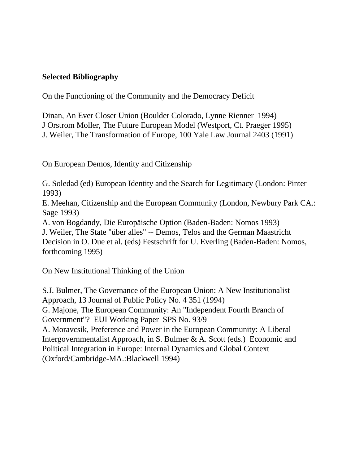### **Selected Bibliography**

On the Functioning of the Community and the Democracy Deficit

Dinan, An Ever Closer Union (Boulder Colorado, Lynne Rienner 1994) J Orstrom Moller, The Future European Model (Westport, Ct. Praeger 1995) J. Weiler, The Transformation of Europe, 100 Yale Law Journal 2403 (1991)

On European Demos, Identity and Citizenship

G. Soledad (ed) European Identity and the Search for Legitimacy (London: Pinter 1993)

E. Meehan, Citizenship and the European Community (London, Newbury Park CA.: Sage 1993)

A. von Bogdandy, Die Europäische Option (Baden-Baden: Nomos 1993)

J. Weiler, The State "über alles" -- Demos, Telos and the German Maastricht Decision in O. Due et al. (eds) Festschrift for U. Everling (Baden-Baden: Nomos, forthcoming 1995)

On New Institutional Thinking of the Union

S.J. Bulmer, The Governance of the European Union: A New Institutionalist Approach, 13 Journal of Public Policy No. 4 351 (1994) G. Majone, The European Community: An "Independent Fourth Branch of Government"? EUI Working Paper SPS No. 93/9 A. Moravcsik, Preference and Power in the European Community: A Liberal Intergovernmentalist Approach, in S. Bulmer & A. Scott (eds.) Economic and Political Integration in Europe: Internal Dynamics and Global Context (Oxford/Cambridge-MA.:Blackwell 1994)